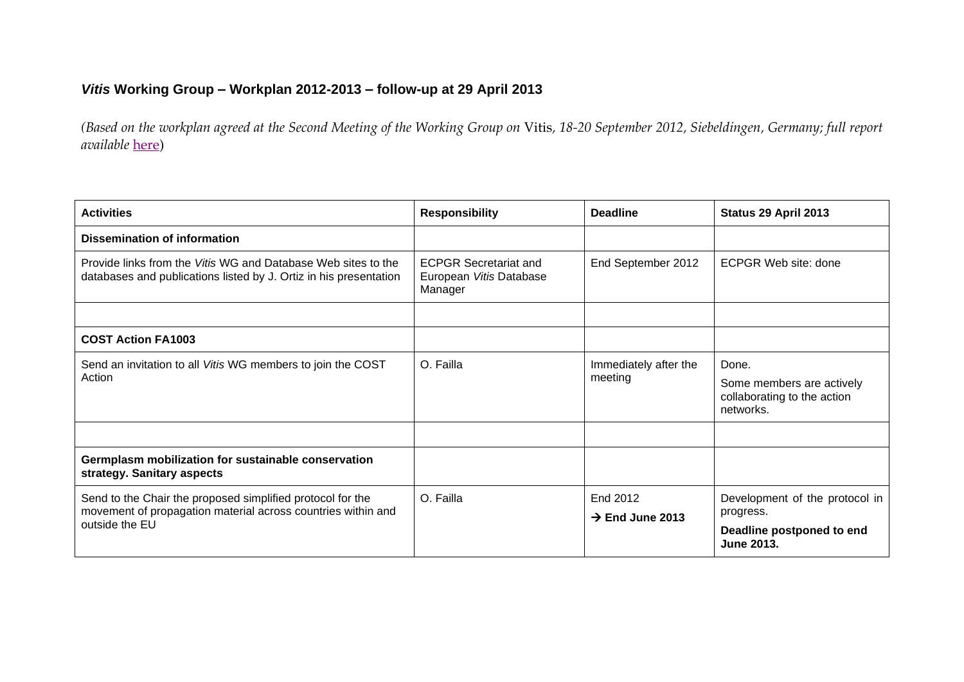## *Vitis* **Working Group – Workplan 2012-2013 – follow-up at 29 April 2013**

*(Based on the workplan agreed at the Second Meeting of the Working Group on* Vitis*, 18-20 September 2012, Siebeldingen, Germany; full report available* [here\)](http://www.ecpgr.cgiar.org/publications/publication/issue/report_of_a_working_group_on_emvitisem.html)

| <b>Activities</b>                                                                                                                            | <b>Responsibility</b>                                              | <b>Deadline</b>                         | Status 29 April 2013                                                                          |
|----------------------------------------------------------------------------------------------------------------------------------------------|--------------------------------------------------------------------|-----------------------------------------|-----------------------------------------------------------------------------------------------|
| Dissemination of information                                                                                                                 |                                                                    |                                         |                                                                                               |
| Provide links from the Vitis WG and Database Web sites to the<br>databases and publications listed by J. Ortiz in his presentation           | <b>ECPGR Secretariat and</b><br>European Vitis Database<br>Manager | End September 2012                      | ECPGR Web site: done                                                                          |
|                                                                                                                                              |                                                                    |                                         |                                                                                               |
| <b>COST Action FA1003</b>                                                                                                                    |                                                                    |                                         |                                                                                               |
| Send an invitation to all Vitis WG members to join the COST<br>Action                                                                        | O. Failla                                                          | Immediately after the<br>meeting        | Done.<br>Some members are actively<br>collaborating to the action<br>networks.                |
| Germplasm mobilization for sustainable conservation<br>strategy. Sanitary aspects                                                            |                                                                    |                                         |                                                                                               |
| Send to the Chair the proposed simplified protocol for the<br>movement of propagation material across countries within and<br>outside the EU | O. Failla                                                          | End 2012<br>$\rightarrow$ End June 2013 | Development of the protocol in<br>progress.<br>Deadline postponed to end<br><b>June 2013.</b> |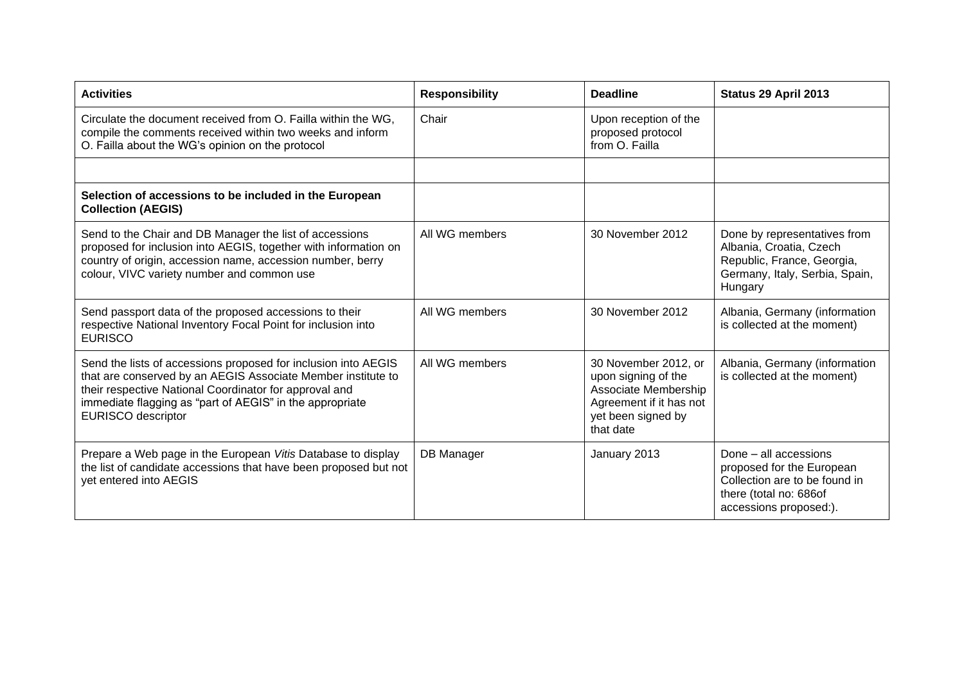| <b>Activities</b>                                                                                                                                                                                                                                                                 | <b>Responsibility</b> | <b>Deadline</b>                                                                                                                   | Status 29 April 2013                                                                                                                    |
|-----------------------------------------------------------------------------------------------------------------------------------------------------------------------------------------------------------------------------------------------------------------------------------|-----------------------|-----------------------------------------------------------------------------------------------------------------------------------|-----------------------------------------------------------------------------------------------------------------------------------------|
| Circulate the document received from O. Failla within the WG,<br>compile the comments received within two weeks and inform<br>O. Failla about the WG's opinion on the protocol                                                                                                    | Chair                 | Upon reception of the<br>proposed protocol<br>from O. Failla                                                                      |                                                                                                                                         |
|                                                                                                                                                                                                                                                                                   |                       |                                                                                                                                   |                                                                                                                                         |
| Selection of accessions to be included in the European<br><b>Collection (AEGIS)</b>                                                                                                                                                                                               |                       |                                                                                                                                   |                                                                                                                                         |
| Send to the Chair and DB Manager the list of accessions<br>proposed for inclusion into AEGIS, together with information on<br>country of origin, accession name, accession number, berry<br>colour, VIVC variety number and common use                                            | All WG members        | 30 November 2012                                                                                                                  | Done by representatives from<br>Albania, Croatia, Czech<br>Republic, France, Georgia,<br>Germany, Italy, Serbia, Spain,<br>Hungary      |
| Send passport data of the proposed accessions to their<br>respective National Inventory Focal Point for inclusion into<br><b>EURISCO</b>                                                                                                                                          | All WG members        | 30 November 2012                                                                                                                  | Albania, Germany (information<br>is collected at the moment)                                                                            |
| Send the lists of accessions proposed for inclusion into AEGIS<br>that are conserved by an AEGIS Associate Member institute to<br>their respective National Coordinator for approval and<br>immediate flagging as "part of AEGIS" in the appropriate<br><b>EURISCO</b> descriptor | All WG members        | 30 November 2012, or<br>upon signing of the<br>Associate Membership<br>Agreement if it has not<br>yet been signed by<br>that date | Albania, Germany (information<br>is collected at the moment)                                                                            |
| Prepare a Web page in the European Vitis Database to display<br>the list of candidate accessions that have been proposed but not<br>yet entered into AEGIS                                                                                                                        | DB Manager            | January 2013                                                                                                                      | Done - all accessions<br>proposed for the European<br>Collection are to be found in<br>there (total no: 686of<br>accessions proposed:). |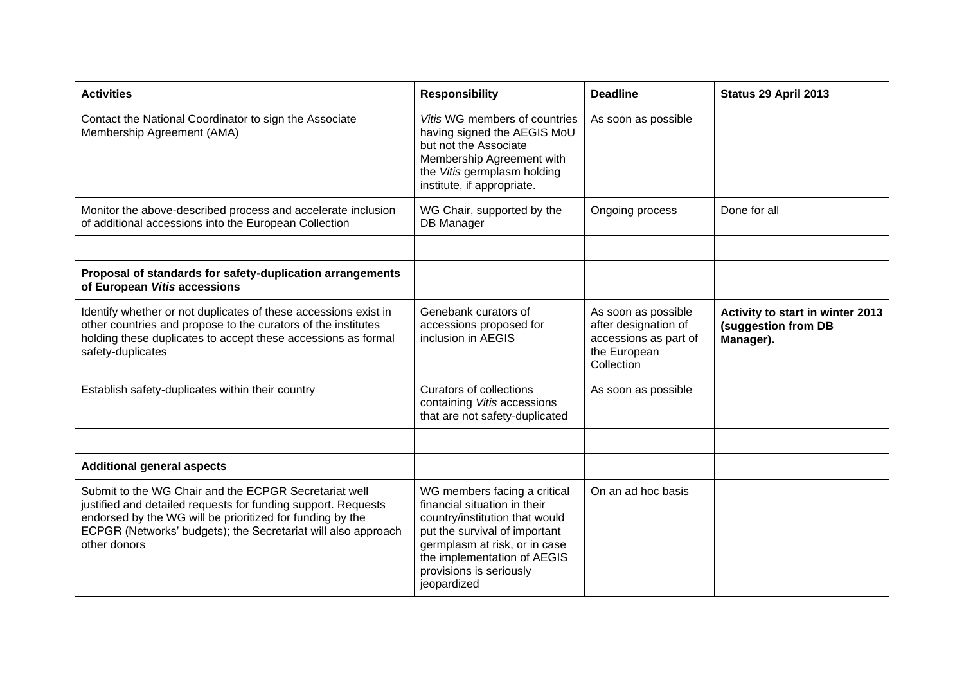| <b>Activities</b>                                                                                                                                                                                                                                                    | <b>Responsibility</b>                                                                                                                                                                                                                     | <b>Deadline</b>                                                                                    | Status 29 April 2013                                                 |
|----------------------------------------------------------------------------------------------------------------------------------------------------------------------------------------------------------------------------------------------------------------------|-------------------------------------------------------------------------------------------------------------------------------------------------------------------------------------------------------------------------------------------|----------------------------------------------------------------------------------------------------|----------------------------------------------------------------------|
| Contact the National Coordinator to sign the Associate<br>Membership Agreement (AMA)                                                                                                                                                                                 | Vitis WG members of countries<br>having signed the AEGIS MoU<br>but not the Associate<br>Membership Agreement with<br>the Vitis germplasm holding<br>institute, if appropriate.                                                           | As soon as possible                                                                                |                                                                      |
| Monitor the above-described process and accelerate inclusion<br>of additional accessions into the European Collection                                                                                                                                                | WG Chair, supported by the<br>DB Manager                                                                                                                                                                                                  | Ongoing process                                                                                    | Done for all                                                         |
|                                                                                                                                                                                                                                                                      |                                                                                                                                                                                                                                           |                                                                                                    |                                                                      |
| Proposal of standards for safety-duplication arrangements<br>of European Vitis accessions                                                                                                                                                                            |                                                                                                                                                                                                                                           |                                                                                                    |                                                                      |
| Identify whether or not duplicates of these accessions exist in<br>other countries and propose to the curators of the institutes<br>holding these duplicates to accept these accessions as formal<br>safety-duplicates                                               | Genebank curators of<br>accessions proposed for<br>inclusion in AEGIS                                                                                                                                                                     | As soon as possible<br>after designation of<br>accessions as part of<br>the European<br>Collection | Activity to start in winter 2013<br>(suggestion from DB<br>Manager). |
| Establish safety-duplicates within their country                                                                                                                                                                                                                     | <b>Curators of collections</b><br>containing Vitis accessions<br>that are not safety-duplicated                                                                                                                                           | As soon as possible                                                                                |                                                                      |
|                                                                                                                                                                                                                                                                      |                                                                                                                                                                                                                                           |                                                                                                    |                                                                      |
| <b>Additional general aspects</b>                                                                                                                                                                                                                                    |                                                                                                                                                                                                                                           |                                                                                                    |                                                                      |
| Submit to the WG Chair and the ECPGR Secretariat well<br>justified and detailed requests for funding support. Requests<br>endorsed by the WG will be prioritized for funding by the<br>ECPGR (Networks' budgets); the Secretariat will also approach<br>other donors | WG members facing a critical<br>financial situation in their<br>country/institution that would<br>put the survival of important<br>germplasm at risk, or in case<br>the implementation of AEGIS<br>provisions is seriously<br>jeopardized | On an ad hoc basis                                                                                 |                                                                      |